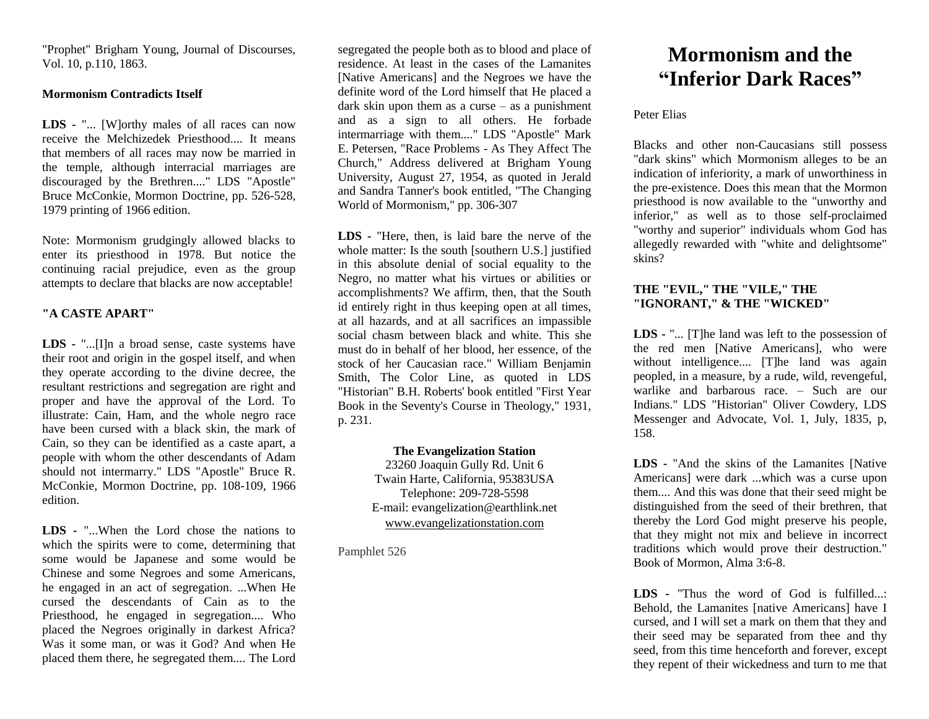"Prophet" Brigham Young, Journal of Discourses, Vol. 10, p.110, 1863.

### **Mormonism Contradicts Itself**

**LDS -** "... [W]orthy males of all races can now receive the Melchizedek Priesthood. It means that members of all races may now be married in the temple, although interracial marriages are discouraged by the Brethren...." LDS "Apostle" Bruce McConkie, Mormon Doctrine, pp. 526-528, 1979 printing of 1966 edition.

Note: Mormonism grudgingly allowed blacks to enter its priesthood in 1978. But notice the continuing racial prejudice, even as the group attempts to declare that blacks are now acceptable!

## **"A CASTE APART"**

**LDS -** "...[I]n a broad sense, caste systems have their root and origin in the gospel itself, and when they operate according to the divine decree, the resultant restrictions and segregation are right and proper and have the approval of the Lord. To illustrate: Cain, Ham, and the whole negro race have been cursed with a black skin, the mark of Cain, so they can be identified as a caste apart, a people with whom the other descendants of Adam should not intermarry." LDS "Apostle" Bruce R. McConkie, Mormon Doctrine, pp. 108-109, 1966 edition.

**LDS -** "...When the Lord chose the nations to which the spirits were to come, determining that some would be Japanese and some would be Chinese and some Negroes and some Americans, he engaged in an act of segregation. ...When He cursed the descendants of Cain as to the Priesthood, he engaged in segregation.... Who placed the Negroes originally in darkest Africa? Was it some man, or was it God? And when He placed them there, he segregated them.... The Lord

segregated the people both as to blood and place of residence. At least in the cases of the Lamanites [Native Americans] and the Negroes we have the definite word of the Lord himself that He placed a dark skin upon them as a curse  $-$  as a punishment and as a sign to all others. He forbade intermarriage with them...." LDS "Apostle" Mark E. Petersen, "Race Problems - As They Affect The Church," Address delivered at Brigham Young University, August 27, 1954, as quoted in Jerald and Sandra Tanner's book entitled, "The Changing World of Mormonism," pp. 306-307

**LDS -** "Here, then, is laid bare the nerve of the whole matter: Is the south [southern U.S.] justified in this absolute denial of social equality to the Negro, no matter what his virtues or abilities or accomplishments? We affirm, then, that the South id entirely right in thus keeping open at all times, at all hazards, and at all sacrifices an impassible social chasm between black and white. This she must do in behalf of her blood, her essence, of the stock of her Caucasian race." William Benjamin Smith, The Color Line, as quoted in LDS "Historian" B.H. Roberts' book entitled "First Year Book in the Seventy's Course in Theology," 1931, p. 231.

### **The Evangelization Station**

23260 Joaquin Gully Rd. Unit 6 Twain Harte, California, 95383USA Telephone: 209-728-5598 E-mail: evangelization@earthlink.net [www.evangelizationstation.com](http://www.pjpiisoe.org/)

Pamphlet 526

# **Mormonism and the "Inferior Dark Races"**

### Peter Elias

Blacks and other non-Caucasians still possess "dark skins" which Mormonism alleges to be an indication of inferiority, a mark of unworthiness in the pre-existence. Does this mean that the Mormon priesthood is now available to the "unworthy and inferior," as well as to those self-proclaimed "worthy and superior" individuals whom God has allegedly rewarded with "white and delightsome" skins?

## **THE "EVIL," THE "VILE," THE "IGNORANT," & THE "WICKED"**

**LDS -** "... [T]he land was left to the possession of the red men [Native Americans], who were without intelligence.... [T]he land was again peopled, in a measure, by a rude, wild, revengeful, warlike and barbarous race. – Such are our Indians." LDS "Historian" Oliver Cowdery, LDS Messenger and Advocate, Vol. 1, July, 1835, p, 158.

**LDS -** "And the skins of the Lamanites [Native Americans] were dark ...which was a curse upon them.... And this was done that their seed might be distinguished from the seed of their brethren, that thereby the Lord God might preserve his people, that they might not mix and believe in incorrect traditions which would prove their destruction." Book of Mormon, Alma 3:6-8.

**LDS -** "Thus the word of God is fulfilled...: Behold, the Lamanites [native Americans] have I cursed, and I will set a mark on them that they and their seed may be separated from thee and thy seed, from this time henceforth and forever, except they repent of their wickedness and turn to me that